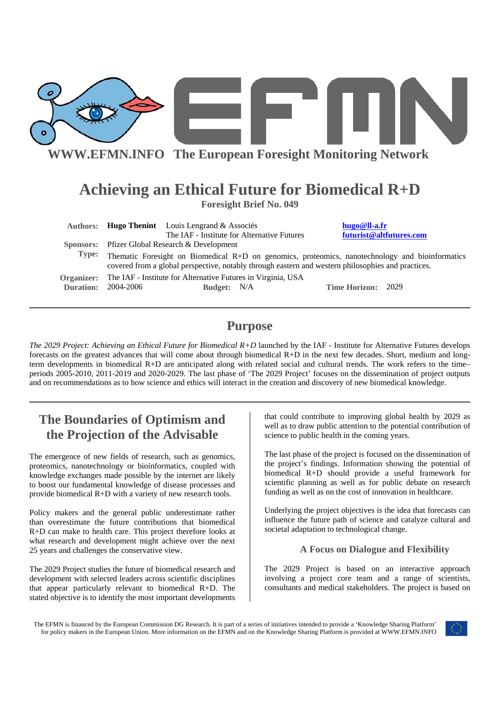

# **Achieving an Ethical Future for Biomedical R+D**

**Foresight Brief No. 049** 

|                            |                                                                                                                                                                                                       | Authors: Hugo Thenint Louis Lengrand & Associés |  | hugo@ll-a.fr              |                         |
|----------------------------|-------------------------------------------------------------------------------------------------------------------------------------------------------------------------------------------------------|-------------------------------------------------|--|---------------------------|-------------------------|
|                            |                                                                                                                                                                                                       | The IAF - Institute for Alternative Futures     |  |                           | futurist@altfutures.com |
|                            | <b>Sponsors:</b> Pfizer Global Research & Development                                                                                                                                                 |                                                 |  |                           |                         |
| Type:                      | Thematic Foresight on Biomedical R+D on genomics, proteomics, nanotechnology and bioinformatics<br>covered from a global perspective, notably through eastern and western philosophies and practices. |                                                 |  |                           |                         |
|                            | <b>Organizer:</b> The IAF - Institute for Alternative Futures in Virginia, USA                                                                                                                        |                                                 |  |                           |                         |
| <b>Duration: 2004-2006</b> |                                                                                                                                                                                                       | Budget: N/A                                     |  | <b>Time Horizon: 2029</b> |                         |

## **Purpose**

*The 2029 Project: Achieving an Ethical Future for Biomedical R+D* launched by the IAF - Institute for Alternative Futures develops forecasts on the greatest advances that will come about through biomedical R+D in the next few decades. Short, medium and longterm developments in biomedical R+D are anticipated along with related social and cultural trends. The work refers to the time– periods 2005-2010, 2011-2019 and 2020-2029. The last phase of 'The 2029 Project' focuses on the dissemination of project outputs and on recommendations as to how science and ethics will interact in the creation and discovery of new biomedical knowledge.

# **The Boundaries of Optimism and the Projection of the Advisable**

The emergence of new fields of research, such as genomics, proteomics, nanotechnology or bioinformatics, coupled with knowledge exchanges made possible by the internet are likely to boost our fundamental knowledge of disease processes and provide biomedical R+D with a variety of new research tools.

Policy makers and the general public underestimate rather than overestimate the future contributions that biomedical R+D can make to health care. This project therefore looks at what research and development might achieve over the next 25 years and challenges the conservative view.

The 2029 Project studies the future of biomedical research and development with selected leaders across scientific disciplines that appear particularly relevant to biomedical R+D. The stated objective is to identify the most important developments

that could contribute to improving global health by 2029 as well as to draw public attention to the potential contribution of science to public health in the coming years.

The last phase of the project is focused on the dissemination of the project's findings. Information showing the potential of biomedical R+D should provide a useful framework for scientific planning as well as for public debate on research funding as well as on the cost of innovation in healthcare.

Underlying the project objectives is the idea that forecasts can influence the future path of science and catalyze cultural and societal adaptation to technological change.

#### **A Focus on Dialogue and Flexibility**

The 2029 Project is based on an interactive approach involving a project core team and a range of scientists, consultants and medical stakeholders. The project is based on

The EFMN is financed by the European Commission DG Research. It is part of a series of initiatives intended to provide a 'Knowledge Sharing Platform' for policy makers in the European Union. More information on the EFMN and on the Knowledge Sharing Platform is provided at WWW.EFMN.INFO

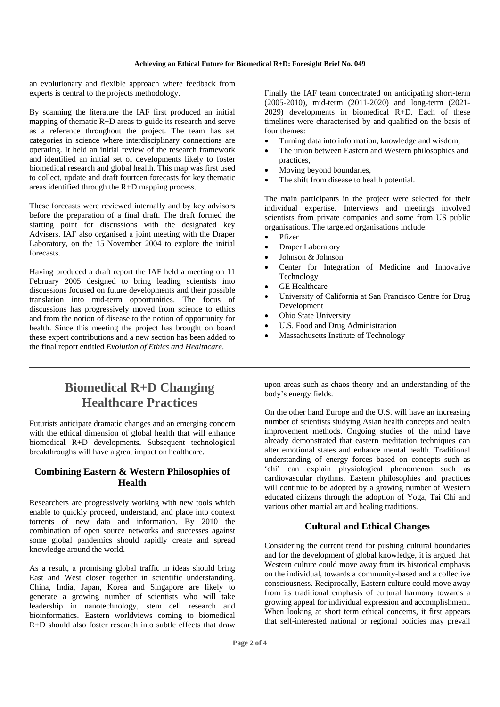#### **Achieving an Ethical Future for Biomedical R+D: Foresight Brief No. 049**

an evolutionary and flexible approach where feedback from experts is central to the projects methodology.

By scanning the literature the IAF first produced an initial mapping of thematic R+D areas to guide its research and serve as a reference throughout the project. The team has set categories in science where interdisciplinary connections are operating. It held an initial review of the research framework and identified an initial set of developments likely to foster biomedical research and global health. This map was first used to collect, update and draft fourteen forecasts for key thematic areas identified through the R+D mapping process.

These forecasts were reviewed internally and by key advisors before the preparation of a final draft. The draft formed the starting point for discussions with the designated key Advisers. IAF also organised a joint meeting with the Draper Laboratory, on the 15 November 2004 to explore the initial forecasts.

Having produced a draft report the IAF held a meeting on 11 February 2005 designed to bring leading scientists into discussions focused on future developments and their possible translation into mid-term opportunities. The focus of discussions has progressively moved from science to ethics and from the notion of disease to the notion of opportunity for health. Since this meeting the project has brought on board these expert contributions and a new section has been added to the final report entitled *Evolution of Ethics and Healthcare*.

Finally the IAF team concentrated on anticipating short-term (2005-2010), mid-term (2011-2020) and long-term (2021- 2029) developments in biomedical R+D. Each of these timelines were characterised by and qualified on the basis of four themes:

- Turning data into information, knowledge and wisdom,
- The union between Eastern and Western philosophies and practices,
- Moving beyond boundaries,
- The shift from disease to health potential.

The main participants in the project were selected for their individual expertise. Interviews and meetings involved scientists from private companies and some from US public organisations. The targeted organisations include:

- Pfizer
- Draper Laboratory
- Johnson & Johnson
- Center for Integration of Medicine and Innovative Technology
- GE Healthcare
- University of California at San Francisco Centre for Drug Development
- Ohio State University
- U.S. Food and Drug Administration
- Massachusetts Institute of Technology

# **Biomedical R+D Changing Healthcare Practices**

Futurists anticipate dramatic changes and an emerging concern with the ethical dimension of global health that will enhance biomedical R+D developments**.** Subsequent technological breakthroughs will have a great impact on healthcare.

#### **Combining Eastern & Western Philosophies of Health**

Researchers are progressively working with new tools which enable to quickly proceed, understand, and place into context torrents of new data and information. By 2010 the combination of open source networks and successes against some global pandemics should rapidly create and spread knowledge around the world.

As a result, a promising global traffic in ideas should bring East and West closer together in scientific understanding. China, India, Japan, Korea and Singapore are likely to generate a growing number of scientists who will take leadership in nanotechnology, stem cell research and bioinformatics. Eastern worldviews coming to biomedical R+D should also foster research into subtle effects that draw

upon areas such as chaos theory and an understanding of the body's energy fields.

On the other hand Europe and the U.S. will have an increasing number of scientists studying Asian health concepts and health improvement methods. Ongoing studies of the mind have already demonstrated that eastern meditation techniques can alter emotional states and enhance mental health. Traditional understanding of energy forces based on concepts such as 'chi' can explain physiological phenomenon such as cardiovascular rhythms. Eastern philosophies and practices will continue to be adopted by a growing number of Western educated citizens through the adoption of Yoga, Tai Chi and various other martial art and healing traditions.

#### **Cultural and Ethical Changes**

Considering the current trend for pushing cultural boundaries and for the development of global knowledge, it is argued that Western culture could move away from its historical emphasis on the individual, towards a community-based and a collective consciousness. Reciprocally, Eastern culture could move away from its traditional emphasis of cultural harmony towards a growing appeal for individual expression and accomplishment. When looking at short term ethical concerns, it first appears that self-interested national or regional policies may prevail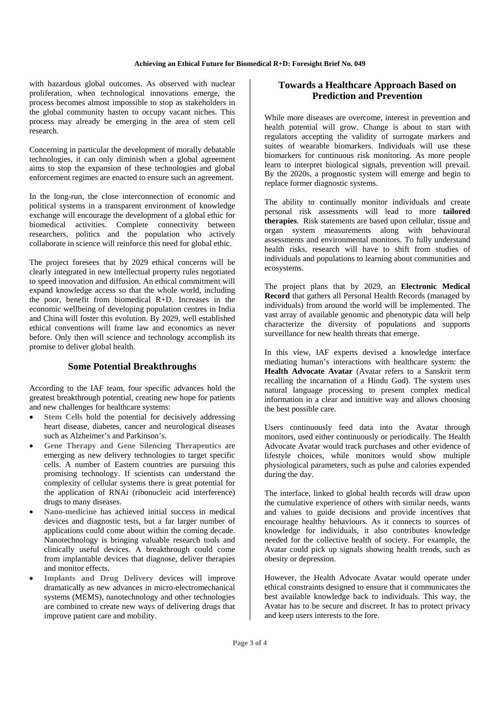#### **Achieving an Ethical Future for Biomedical R+D: Foresight Brief No. 049**

with hazardous global outcomes. As observed with nuclear proliferation, when technological innovations emerge, the process becomes almost impossible to stop as stakeholders in the global community hasten to occupy vacant niches. This process may already be emerging in the area of stem cell research.

Concerning in particular the development of morally debatable technologies, it can only diminish when a global agreement aims to stop the expansion of these technologies and global enforcement regimes are enacted to ensure such an agreement.

In the long-run, the close interconnection of economic and political systems in a transparent environment of knowledge exchange will encourage the development of a global ethic for biomedical activities. Complete connectivity between researchers, politics and the population who actively collaborate in science will reinforce this need for global ethic.

The project foresees that by 2029 ethical concerns will be clearly integrated in new intellectual property rules negotiated to speed innovation and diffusion. An ethical commitment will expand knowledge access so that the whole world, including the poor, benefit from biomedical R+D. Increases in the economic wellbeing of developing population centres in India and China will foster this evolution. By 2029, well established ethical conventions will frame law and economics as never before. Only then will science and technology accomplish its promise to deliver global health.

#### **Some Potential Breakthroughs**

According to the IAF team, four specific advances hold the greatest breakthrough potential, creating new hope for patients and new challenges for healthcare systems:

- Stem Cells hold the potential for decisively addressing heart disease, diabetes, cancer and neurological diseases such as Alzheimer's and Parkinson's.
- **Gene Therapy and Gene Silencing Therapeutics** are emerging as new delivery technologies to target specific cells. A number of Eastern countries are pursuing this promising technology. If scientists can understand the complexity of cellular systems there is great potential for the application of RNAi (ribonucleic acid interference) drugs to many diseases.
- **Nano-medicine** has achieved initial success in medical devices and diagnostic tests, but a far larger number of applications could come about within the coming decade. Nanotechnology is bringing valuable research tools and clinically useful devices. A breakthrough could come from implantable devices that diagnose, deliver therapies and monitor effects.
- Implants and Drug Delivery devices will improve dramatically as new advances in micro-electromechanical systems (MEMS), nanotechnology and other technologies are combined to create new ways of delivering drugs that improve patient care and mobility.

#### **Towards a Healthcare Approach Based on Prediction and Prevention**

While more diseases are overcome, interest in prevention and health potential will grow. Change is about to start with regulators accepting the validity of surrogate markers and suites of wearable biomarkers. Individuals will use these biomarkers for continuous risk monitoring. As more people learn to interpret biological signals, prevention will prevail. By the 2020s, a prognostic system will emerge and begin to replace former diagnostic systems.

The ability to continually monitor individuals and create personal risk assessments will lead to more **tailored therapies**. Risk statements are based upon cellular, tissue and organ system measurements along with behavioural assessments and environmental monitors. To fully understand health risks, research will have to shift from studies of individuals and populations to learning about communities and ecosystems.

The project plans that by 2029, an **Electronic Medical Record** that gathers all Personal Health Records (managed by individuals) from around the world will be implemented. The vast array of available genomic and phenotypic data will help characterize the diversity of populations and supports surveillance for new health threats that emerge.

In this view, IAF experts devised a knowledge interface mediating human's interactions with healthcare system: the **Health Advocate Avatar** (Avatar refers to a Sanskrit term recalling the incarnation of a Hindu God). The system uses natural language processing to present complex medical information in a clear and intuitive way and allows choosing the best possible care.

Users continuously feed data into the Avatar through monitors, used either continuously or periodically. The Health Advocate Avatar would track purchases and other evidence of lifestyle choices, while monitors would show multiple physiological parameters, such as pulse and calories expended during the day.

The interface, linked to global health records will draw upon the cumulative experience of others with similar needs, wants and values to guide decisions and provide incentives that encourage healthy behaviours. As it connects to sources of knowledge for individuals, it also contributes knowledge needed for the collective health of society. For example, the Avatar could pick up signals showing health trends, such as obesity or depression.

However, the Health Advocate Avatar would operate under ethical constraints designed to ensure that it communicates the best available knowledge back to individuals. This way, the Avatar has to be secure and discreet. It has to protect privacy and keep users interests to the fore.